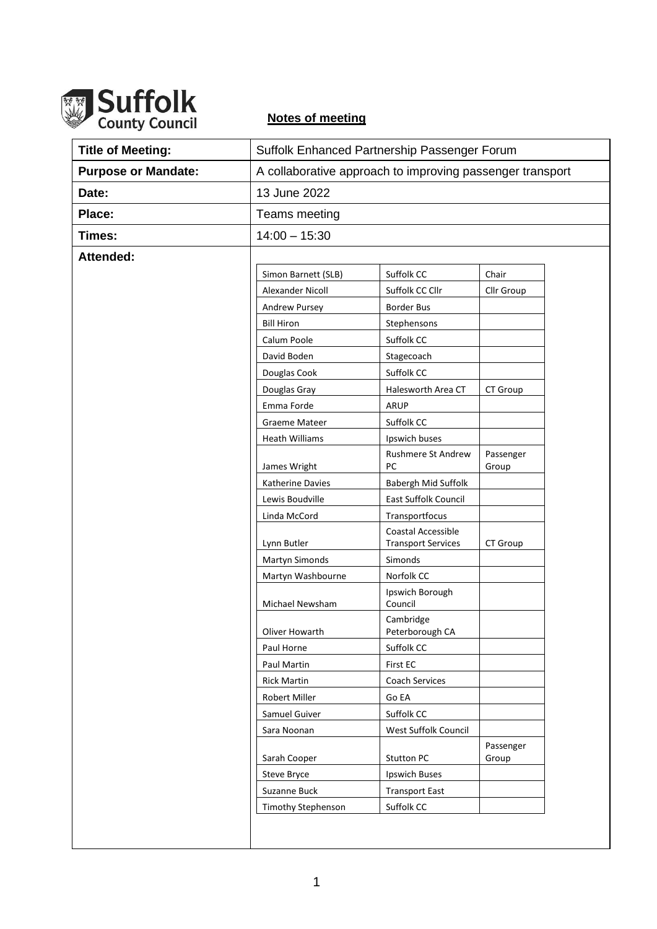

## **Notes of meeting**

| <b>Title of Meeting:</b>   | Suffolk Enhanced Partnership Passenger Forum              |                                             |                    |
|----------------------------|-----------------------------------------------------------|---------------------------------------------|--------------------|
| <b>Purpose or Mandate:</b> | A collaborative approach to improving passenger transport |                                             |                    |
| Date:                      | 13 June 2022                                              |                                             |                    |
| Place:                     | Teams meeting                                             |                                             |                    |
| Times:                     | $14:00 - 15:30$                                           |                                             |                    |
| Attended:                  |                                                           |                                             |                    |
|                            | Simon Barnett (SLB)                                       | Suffolk CC                                  | Chair              |
|                            | Alexander Nicoll                                          | Suffolk CC Cllr                             | Cllr Group         |
|                            | Andrew Pursey                                             | <b>Border Bus</b>                           |                    |
|                            | <b>Bill Hiron</b>                                         | Stephensons                                 |                    |
|                            | Calum Poole                                               | Suffolk CC                                  |                    |
|                            | David Boden                                               | Stagecoach                                  |                    |
|                            | Douglas Cook                                              | Suffolk CC                                  |                    |
|                            | Douglas Gray                                              | Halesworth Area CT                          | CT Group           |
|                            | Emma Forde                                                | <b>ARUP</b>                                 |                    |
|                            | <b>Graeme Mateer</b>                                      | Suffolk CC                                  |                    |
|                            | <b>Heath Williams</b>                                     | Ipswich buses                               |                    |
|                            |                                                           | <b>Rushmere St Andrew</b>                   | Passenger          |
|                            | James Wright                                              | PC                                          | Group              |
|                            | Katherine Davies<br>Lewis Boudville                       | Babergh Mid Suffolk<br>East Suffolk Council |                    |
|                            | Linda McCord                                              | Transportfocus                              |                    |
|                            |                                                           | Coastal Accessible                          |                    |
|                            | Lynn Butler                                               | <b>Transport Services</b>                   | CT Group           |
|                            | Martyn Simonds                                            | Simonds                                     |                    |
|                            | Martyn Washbourne                                         | Norfolk CC                                  |                    |
|                            | Michael Newsham                                           | Ipswich Borough<br>Council                  |                    |
|                            | Oliver Howarth                                            | Cambridge<br>Peterborough CA                |                    |
|                            | Paul Horne                                                | Suffolk CC                                  |                    |
|                            | Paul Martin                                               | First EC                                    |                    |
|                            | <b>Rick Martin</b>                                        | <b>Coach Services</b>                       |                    |
|                            | Robert Miller                                             | Go EA                                       |                    |
|                            | Samuel Guiver                                             | Suffolk CC                                  |                    |
|                            | Sara Noonan                                               | West Suffolk Council                        |                    |
|                            | Sarah Cooper                                              | <b>Stutton PC</b>                           | Passenger<br>Group |
|                            | <b>Steve Bryce</b>                                        | <b>Ipswich Buses</b>                        |                    |
|                            | Suzanne Buck                                              | <b>Transport East</b>                       |                    |
|                            | Timothy Stephenson                                        | Suffolk CC                                  |                    |
|                            |                                                           |                                             |                    |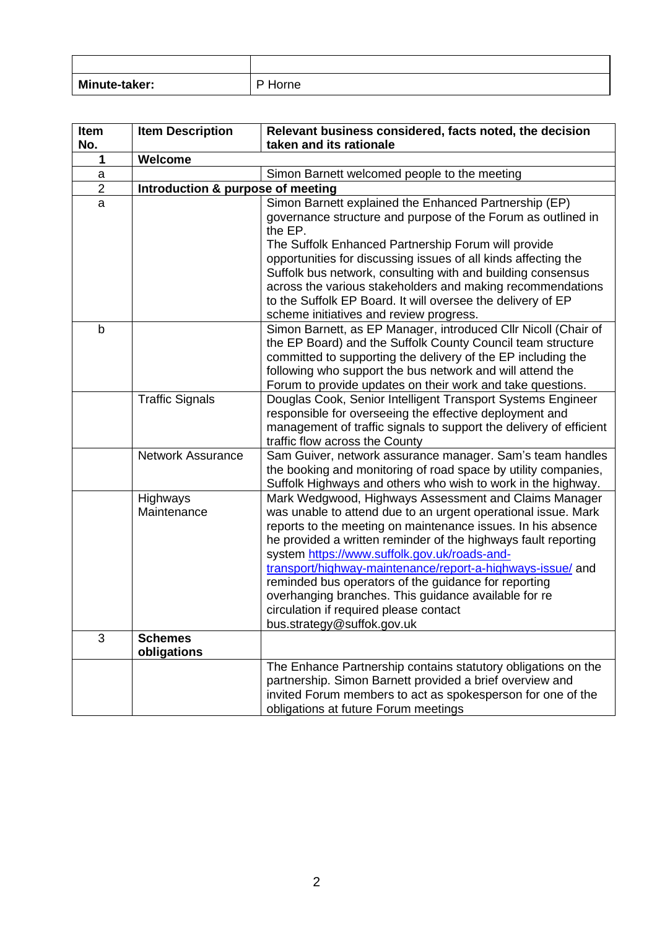| <b>Minute-taker:</b> | Horne |
|----------------------|-------|

| Item                | <b>Item Description</b>           | Relevant business considered, facts noted, the decision                                                    |  |
|---------------------|-----------------------------------|------------------------------------------------------------------------------------------------------------|--|
| No.<br>$\mathbf{1}$ | Welcome                           | taken and its rationale                                                                                    |  |
|                     |                                   |                                                                                                            |  |
| a<br>$\overline{2}$ |                                   | Simon Barnett welcomed people to the meeting                                                               |  |
|                     | Introduction & purpose of meeting |                                                                                                            |  |
| a                   |                                   | Simon Barnett explained the Enhanced Partnership (EP)                                                      |  |
|                     |                                   | governance structure and purpose of the Forum as outlined in<br>the EP.                                    |  |
|                     |                                   | The Suffolk Enhanced Partnership Forum will provide                                                        |  |
|                     |                                   | opportunities for discussing issues of all kinds affecting the                                             |  |
|                     |                                   | Suffolk bus network, consulting with and building consensus                                                |  |
|                     |                                   | across the various stakeholders and making recommendations                                                 |  |
|                     |                                   | to the Suffolk EP Board. It will oversee the delivery of EP                                                |  |
|                     |                                   | scheme initiatives and review progress.                                                                    |  |
| b                   |                                   | Simon Barnett, as EP Manager, introduced Cllr Nicoll (Chair of                                             |  |
|                     |                                   | the EP Board) and the Suffolk County Council team structure                                                |  |
|                     |                                   | committed to supporting the delivery of the EP including the                                               |  |
|                     |                                   | following who support the bus network and will attend the                                                  |  |
|                     |                                   | Forum to provide updates on their work and take questions.                                                 |  |
|                     | <b>Traffic Signals</b>            | Douglas Cook, Senior Intelligent Transport Systems Engineer                                                |  |
|                     |                                   | responsible for overseeing the effective deployment and                                                    |  |
|                     |                                   | management of traffic signals to support the delivery of efficient                                         |  |
|                     |                                   | traffic flow across the County                                                                             |  |
|                     | <b>Network Assurance</b>          | Sam Guiver, network assurance manager. Sam's team handles                                                  |  |
|                     |                                   | the booking and monitoring of road space by utility companies,                                             |  |
|                     |                                   | Suffolk Highways and others who wish to work in the highway.                                               |  |
|                     | Highways                          | Mark Wedgwood, Highways Assessment and Claims Manager                                                      |  |
|                     | Maintenance                       | was unable to attend due to an urgent operational issue. Mark                                              |  |
|                     |                                   | reports to the meeting on maintenance issues. In his absence                                               |  |
|                     |                                   | he provided a written reminder of the highways fault reporting                                             |  |
|                     |                                   | system https://www.suffolk.gov.uk/roads-and-<br>transport/highway-maintenance/report-a-highways-issue/ and |  |
|                     |                                   | reminded bus operators of the guidance for reporting                                                       |  |
|                     |                                   | overhanging branches. This guidance available for re                                                       |  |
|                     |                                   | circulation if required please contact                                                                     |  |
|                     |                                   | bus.strategy@suffok.gov.uk                                                                                 |  |
| 3                   | <b>Schemes</b>                    |                                                                                                            |  |
|                     | obligations                       |                                                                                                            |  |
|                     |                                   | The Enhance Partnership contains statutory obligations on the                                              |  |
|                     |                                   | partnership. Simon Barnett provided a brief overview and                                                   |  |
|                     |                                   | invited Forum members to act as spokesperson for one of the                                                |  |
|                     |                                   | obligations at future Forum meetings                                                                       |  |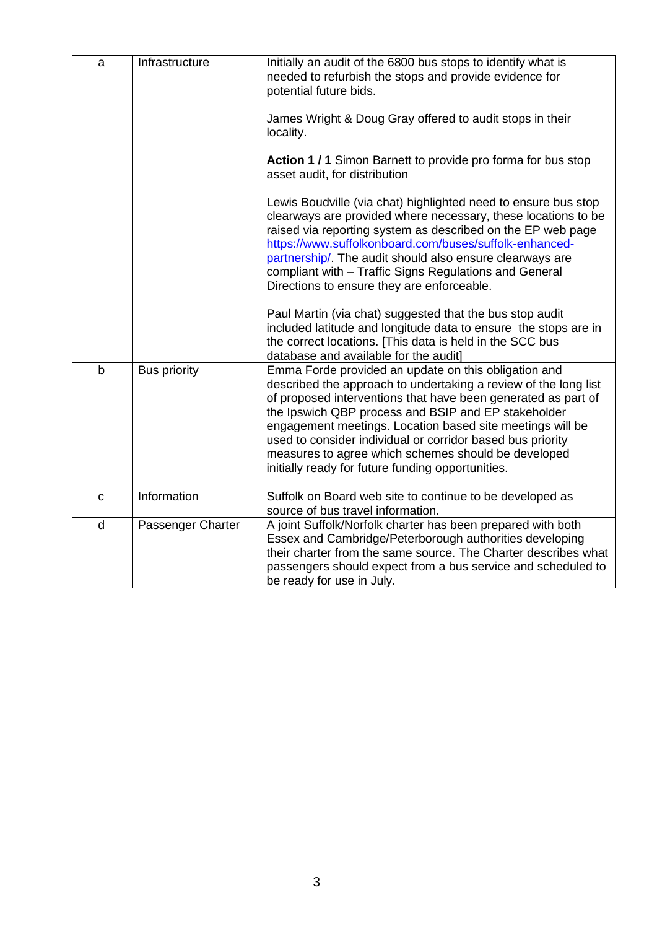| a            | Infrastructure      | Initially an audit of the 6800 bus stops to identify what is<br>needed to refurbish the stops and provide evidence for<br>potential future bids.                                                                                                                                                                                                                                                                                                                                       |
|--------------|---------------------|----------------------------------------------------------------------------------------------------------------------------------------------------------------------------------------------------------------------------------------------------------------------------------------------------------------------------------------------------------------------------------------------------------------------------------------------------------------------------------------|
|              |                     | James Wright & Doug Gray offered to audit stops in their<br>locality.                                                                                                                                                                                                                                                                                                                                                                                                                  |
|              |                     | Action 1 / 1 Simon Barnett to provide pro forma for bus stop<br>asset audit, for distribution                                                                                                                                                                                                                                                                                                                                                                                          |
|              |                     | Lewis Boudville (via chat) highlighted need to ensure bus stop<br>clearways are provided where necessary, these locations to be<br>raised via reporting system as described on the EP web page<br>https://www.suffolkonboard.com/buses/suffolk-enhanced-<br>partnership/. The audit should also ensure clearways are<br>compliant with - Traffic Signs Regulations and General<br>Directions to ensure they are enforceable.                                                           |
|              |                     | Paul Martin (via chat) suggested that the bus stop audit<br>included latitude and longitude data to ensure the stops are in<br>the correct locations. [This data is held in the SCC bus<br>database and available for the audit]                                                                                                                                                                                                                                                       |
| b            | <b>Bus priority</b> | Emma Forde provided an update on this obligation and<br>described the approach to undertaking a review of the long list<br>of proposed interventions that have been generated as part of<br>the Ipswich QBP process and BSIP and EP stakeholder<br>engagement meetings. Location based site meetings will be<br>used to consider individual or corridor based bus priority<br>measures to agree which schemes should be developed<br>initially ready for future funding opportunities. |
| $\mathbf C$  | Information         | Suffolk on Board web site to continue to be developed as<br>source of bus travel information.                                                                                                                                                                                                                                                                                                                                                                                          |
| $\mathsf{d}$ | Passenger Charter   | A joint Suffolk/Norfolk charter has been prepared with both<br>Essex and Cambridge/Peterborough authorities developing<br>their charter from the same source. The Charter describes what<br>passengers should expect from a bus service and scheduled to<br>be ready for use in July.                                                                                                                                                                                                  |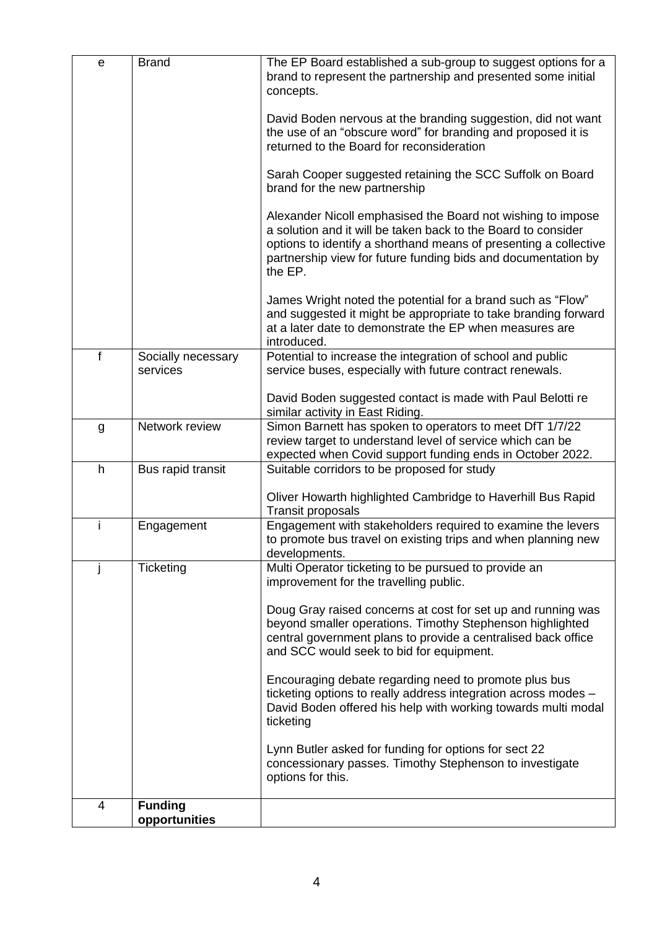| e | <b>Brand</b>                    | The EP Board established a sub-group to suggest options for a<br>brand to represent the partnership and presented some initial<br>concepts.                                                                                                                                  |
|---|---------------------------------|------------------------------------------------------------------------------------------------------------------------------------------------------------------------------------------------------------------------------------------------------------------------------|
|   |                                 | David Boden nervous at the branding suggestion, did not want<br>the use of an "obscure word" for branding and proposed it is<br>returned to the Board for reconsideration                                                                                                    |
|   |                                 | Sarah Cooper suggested retaining the SCC Suffolk on Board<br>brand for the new partnership                                                                                                                                                                                   |
|   |                                 | Alexander Nicoll emphasised the Board not wishing to impose<br>a solution and it will be taken back to the Board to consider<br>options to identify a shorthand means of presenting a collective<br>partnership view for future funding bids and documentation by<br>the EP. |
|   |                                 | James Wright noted the potential for a brand such as "Flow"<br>and suggested it might be appropriate to take branding forward<br>at a later date to demonstrate the EP when measures are<br>introduced.                                                                      |
| f | Socially necessary<br>services  | Potential to increase the integration of school and public<br>service buses, especially with future contract renewals.                                                                                                                                                       |
|   |                                 | David Boden suggested contact is made with Paul Belotti re<br>similar activity in East Riding.                                                                                                                                                                               |
| g | Network review                  | Simon Barnett has spoken to operators to meet DfT 1/7/22<br>review target to understand level of service which can be<br>expected when Covid support funding ends in October 2022.                                                                                           |
| h | Bus rapid transit               | Suitable corridors to be proposed for study                                                                                                                                                                                                                                  |
|   |                                 | Oliver Howarth highlighted Cambridge to Haverhill Bus Rapid<br><b>Transit proposals</b>                                                                                                                                                                                      |
| i | Engagement                      | Engagement with stakeholders required to examine the levers<br>to promote bus travel on existing trips and when planning new<br>developments.                                                                                                                                |
|   | Ticketing                       | Multi Operator ticketing to be pursued to provide an<br>improvement for the travelling public.                                                                                                                                                                               |
|   |                                 | Doug Gray raised concerns at cost for set up and running was<br>beyond smaller operations. Timothy Stephenson highlighted<br>central government plans to provide a centralised back office<br>and SCC would seek to bid for equipment.                                       |
|   |                                 | Encouraging debate regarding need to promote plus bus<br>ticketing options to really address integration across modes -<br>David Boden offered his help with working towards multi modal<br>ticketing                                                                        |
|   |                                 | Lynn Butler asked for funding for options for sect 22<br>concessionary passes. Timothy Stephenson to investigate<br>options for this.                                                                                                                                        |
| 4 | <b>Funding</b><br>opportunities |                                                                                                                                                                                                                                                                              |